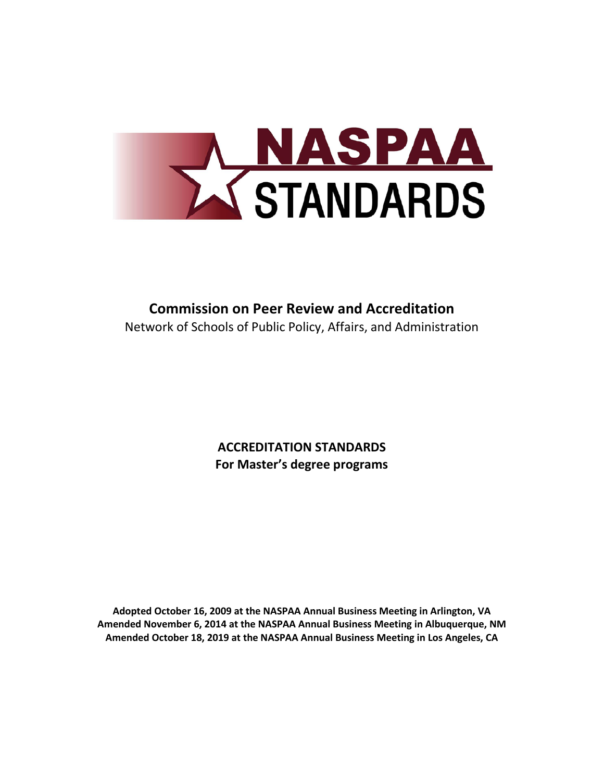

# **Commission on Peer Review and Accreditation** Network of Schools of Public Policy, Affairs, and Administration

**ACCREDITATION STANDARDS For Master's degree programs**

**Adopted October 16, 2009 at the NASPAA Annual Business Meeting in Arlington, VA Amended November 6, 2014 at the NASPAA Annual Business Meeting in Albuquerque, NM Amended October 18, 2019 at the NASPAA Annual Business Meeting in Los Angeles, CA**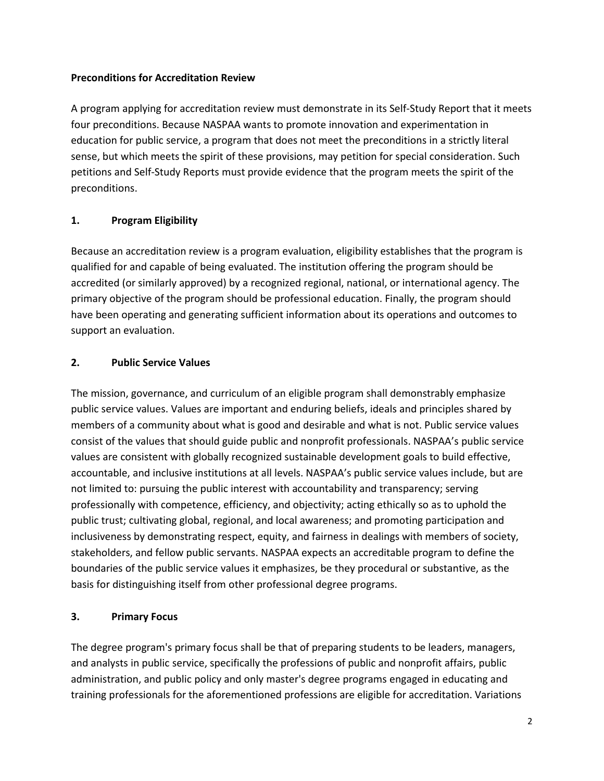# **Preconditions for Accreditation Review**

A program applying for accreditation review must demonstrate in its Self-Study Report that it meets four preconditions. Because NASPAA wants to promote innovation and experimentation in education for public service, a program that does not meet the preconditions in a strictly literal sense, but which meets the spirit of these provisions, may petition for special consideration. Such petitions and Self-Study Reports must provide evidence that the program meets the spirit of the preconditions.

# **1. Program Eligibility**

Because an accreditation review is a program evaluation, eligibility establishes that the program is qualified for and capable of being evaluated. The institution offering the program should be accredited (or similarly approved) by a recognized regional, national, or international agency. The primary objective of the program should be professional education. Finally, the program should have been operating and generating sufficient information about its operations and outcomes to support an evaluation.

# **2. Public Service Values**

The mission, governance, and curriculum of an eligible program shall demonstrably emphasize public service values. Values are important and enduring beliefs, ideals and principles shared by members of a community about what is good and desirable and what is not. Public service values consist of the values that should guide public and nonprofit professionals. NASPAA's public service values are consistent with globally recognized sustainable development goals to build effective, accountable, and inclusive institutions at all levels. NASPAA's public service values include, but are not limited to: pursuing the public interest with accountability and transparency; serving professionally with competence, efficiency, and objectivity; acting ethically so as to uphold the public trust; cultivating global, regional, and local awareness; and promoting participation and inclusiveness by demonstrating respect, equity, and fairness in dealings with members of society, stakeholders, and fellow public servants. NASPAA expects an accreditable program to define the boundaries of the public service values it emphasizes, be they procedural or substantive, as the basis for distinguishing itself from other professional degree programs.

# **3. Primary Focus**

The degree program's primary focus shall be that of preparing students to be leaders, managers, and analysts in public service, specifically the professions of public and nonprofit affairs, public administration, and public policy and only master's degree programs engaged in educating and training professionals for the aforementioned professions are eligible for accreditation. Variations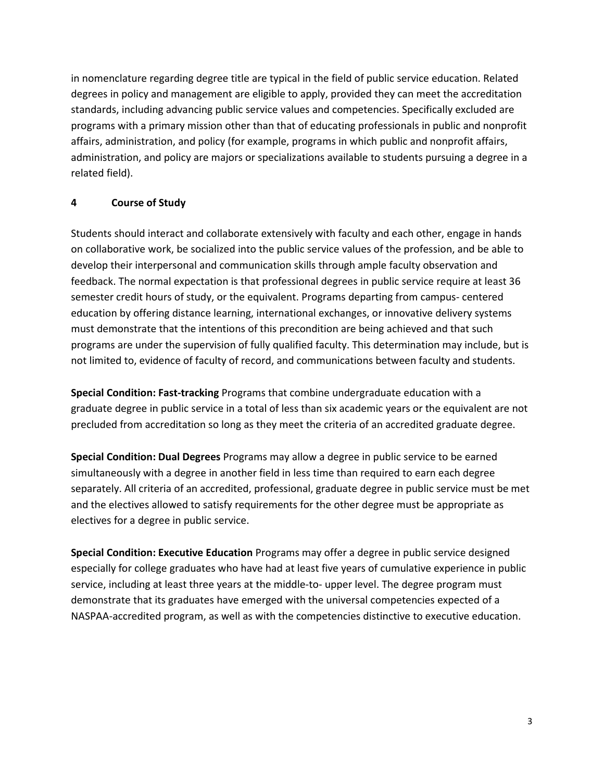in nomenclature regarding degree title are typical in the field of public service education. Related degrees in policy and management are eligible to apply, provided they can meet the accreditation standards, including advancing public service values and competencies. Specifically excluded are programs with a primary mission other than that of educating professionals in public and nonprofit affairs, administration, and policy (for example, programs in which public and nonprofit affairs, administration, and policy are majors or specializations available to students pursuing a degree in a related field).

# **4 Course of Study**

Students should interact and collaborate extensively with faculty and each other, engage in hands on collaborative work, be socialized into the public service values of the profession, and be able to develop their interpersonal and communication skills through ample faculty observation and feedback. The normal expectation is that professional degrees in public service require at least 36 semester credit hours of study, or the equivalent. Programs departing from campus- centered education by offering distance learning, international exchanges, or innovative delivery systems must demonstrate that the intentions of this precondition are being achieved and that such programs are under the supervision of fully qualified faculty. This determination may include, but is not limited to, evidence of faculty of record, and communications between faculty and students.

**Special Condition: Fast-tracking** Programs that combine undergraduate education with a graduate degree in public service in a total of less than six academic years or the equivalent are not precluded from accreditation so long as they meet the criteria of an accredited graduate degree.

**Special Condition: Dual Degrees** Programs may allow a degree in public service to be earned simultaneously with a degree in another field in less time than required to earn each degree separately. All criteria of an accredited, professional, graduate degree in public service must be met and the electives allowed to satisfy requirements for the other degree must be appropriate as electives for a degree in public service.

**Special Condition: Executive Education** Programs may offer a degree in public service designed especially for college graduates who have had at least five years of cumulative experience in public service, including at least three years at the middle-to- upper level. The degree program must demonstrate that its graduates have emerged with the universal competencies expected of a NASPAA-accredited program, as well as with the competencies distinctive to executive education.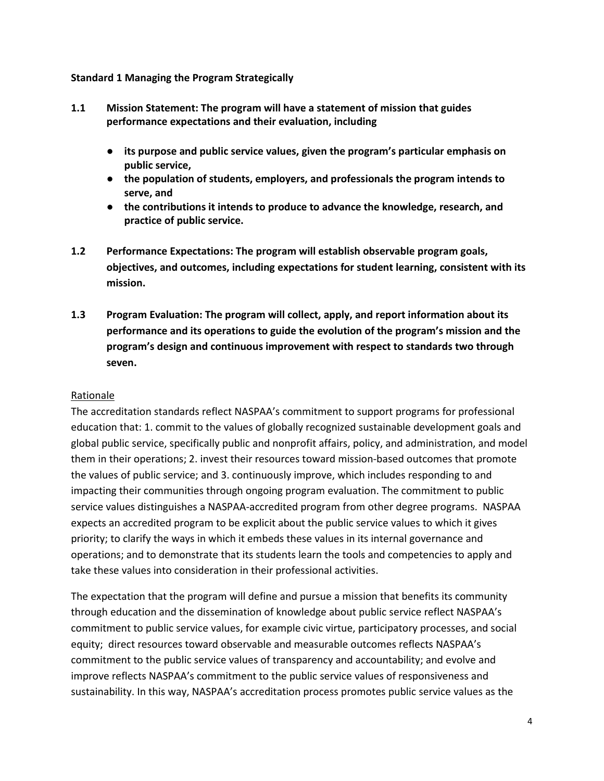#### **Standard 1 Managing the Program Strategically**

- **1.1 Mission Statement: The program will have a statement of mission that guides performance expectations and their evaluation, including**
	- **its purpose and public service values, given the program's particular emphasis on public service,**
	- **the population of students, employers, and professionals the program intends to serve, and**
	- **the contributions it intends to produce to advance the knowledge, research, and practice of public service.**
- **1.2 Performance Expectations: The program will establish observable program goals, objectives, and outcomes, including expectations for student learning, consistent with its mission.**
- **1.3 Program Evaluation: The program will collect, apply, and report information about its performance and its operations to guide the evolution of the program's mission and the program's design and continuous improvement with respect to standards two through seven.**

# Rationale

The accreditation standards reflect NASPAA's commitment to support programs for professional education that: 1. commit to the values of globally recognized sustainable development goals and global public service, specifically public and nonprofit affairs, policy, and administration, and model them in their operations; 2. invest their resources toward mission-based outcomes that promote the values of public service; and 3. continuously improve, which includes responding to and impacting their communities through ongoing program evaluation. The commitment to public service values distinguishes a NASPAA-accredited program from other degree programs. NASPAA expects an accredited program to be explicit about the public service values to which it gives priority; to clarify the ways in which it embeds these values in its internal governance and operations; and to demonstrate that its students learn the tools and competencies to apply and take these values into consideration in their professional activities.

The expectation that the program will define and pursue a mission that benefits its community through education and the dissemination of knowledge about public service reflect NASPAA's commitment to public service values, for example civic virtue, participatory processes, and social equity; direct resources toward observable and measurable outcomes reflects NASPAA's commitment to the public service values of transparency and accountability; and evolve and improve reflects NASPAA's commitment to the public service values of responsiveness and sustainability. In this way, NASPAA's accreditation process promotes public service values as the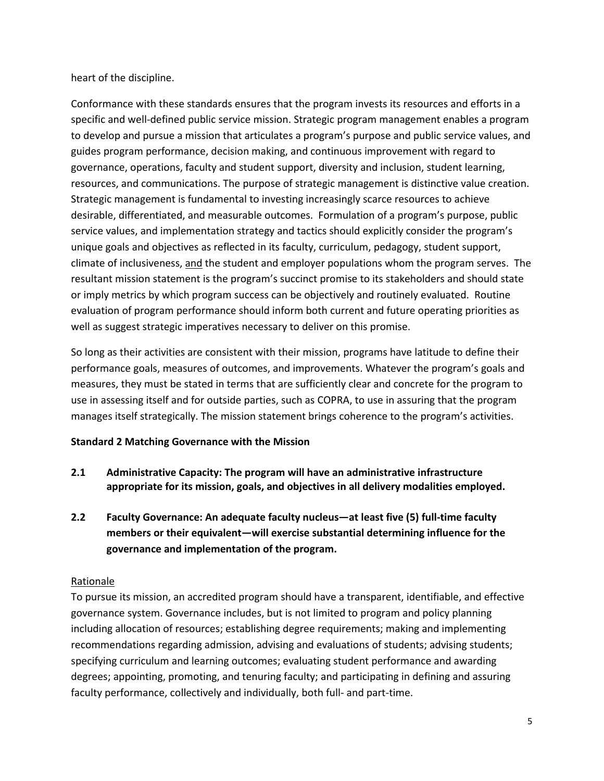heart of the discipline.

Conformance with these standards ensures that the program invests its resources and efforts in a specific and well-defined public service mission. Strategic program management enables a program to develop and pursue a mission that articulates a program's purpose and public service values, and guides program performance, decision making, and continuous improvement with regard to governance, operations, faculty and student support, diversity and inclusion, student learning, resources, and communications. The purpose of strategic management is distinctive value creation. Strategic management is fundamental to investing increasingly scarce resources to achieve desirable, differentiated, and measurable outcomes. Formulation of a program's purpose, public service values, and implementation strategy and tactics should explicitly consider the program's unique goals and objectives as reflected in its faculty, curriculum, pedagogy, student support, climate of inclusiveness, and the student and employer populations whom the program serves. The resultant mission statement is the program's succinct promise to its stakeholders and should state or imply metrics by which program success can be objectively and routinely evaluated. Routine evaluation of program performance should inform both current and future operating priorities as well as suggest strategic imperatives necessary to deliver on this promise.

So long as their activities are consistent with their mission, programs have latitude to define their performance goals, measures of outcomes, and improvements. Whatever the program's goals and measures, they must be stated in terms that are sufficiently clear and concrete for the program to use in assessing itself and for outside parties, such as COPRA, to use in assuring that the program manages itself strategically. The mission statement brings coherence to the program's activities.

# **Standard 2 Matching Governance with the Mission**

- **2.1 Administrative Capacity: The program will have an administrative infrastructure appropriate for its mission, goals, and objectives in all delivery modalities employed.**
- **2.2 Faculty Governance: An adequate faculty nucleus—at least five (5) full-time faculty members or their equivalent—will exercise substantial determining influence for the governance and implementation of the program.**

# Rationale

To pursue its mission, an accredited program should have a transparent, identifiable, and effective governance system. Governance includes, but is not limited to program and policy planning including allocation of resources; establishing degree requirements; making and implementing recommendations regarding admission, advising and evaluations of students; advising students; specifying curriculum and learning outcomes; evaluating student performance and awarding degrees; appointing, promoting, and tenuring faculty; and participating in defining and assuring faculty performance, collectively and individually, both full- and part-time.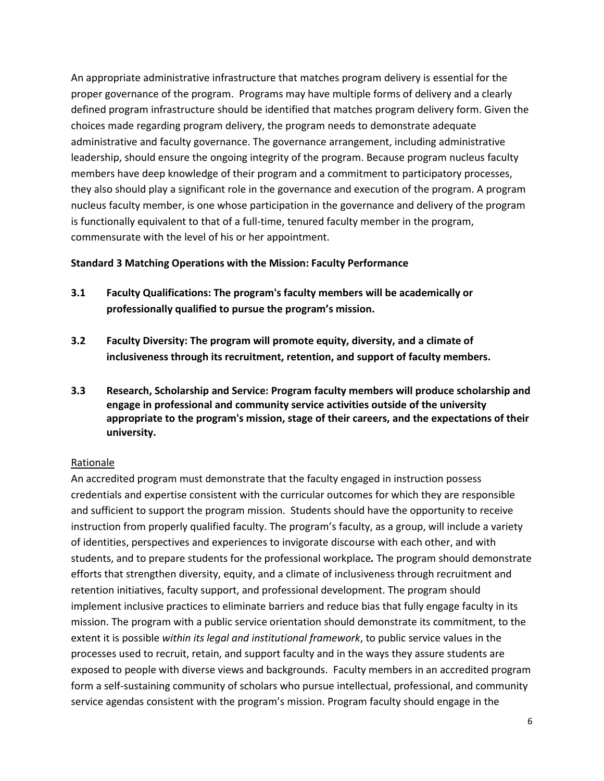An appropriate administrative infrastructure that matches program delivery is essential for the proper governance of the program. Programs may have multiple forms of delivery and a clearly defined program infrastructure should be identified that matches program delivery form. Given the choices made regarding program delivery, the program needs to demonstrate adequate administrative and faculty governance. The governance arrangement, including administrative leadership, should ensure the ongoing integrity of the program. Because program nucleus faculty members have deep knowledge of their program and a commitment to participatory processes, they also should play a significant role in the governance and execution of the program. A program nucleus faculty member, is one whose participation in the governance and delivery of the program is functionally equivalent to that of a full-time, tenured faculty member in the program, commensurate with the level of his or her appointment.

#### **Standard 3 Matching Operations with the Mission: Faculty Performance**

- **3.1 Faculty Qualifications: The program's faculty members will be academically or professionally qualified to pursue the program's mission.**
- **3.2 Faculty Diversity: The program will promote equity, diversity, and a climate of inclusiveness through its recruitment, retention, and support of faculty members.**
- **3.3 Research, Scholarship and Service: Program faculty members will produce scholarship and engage in professional and community service activities outside of the university appropriate to the program's mission, stage of their careers, and the expectations of their university.**

# Rationale

An accredited program must demonstrate that the faculty engaged in instruction possess credentials and expertise consistent with the curricular outcomes for which they are responsible and sufficient to support the program mission. Students should have the opportunity to receive instruction from properly qualified faculty. The program's faculty, as a group, will include a variety of identities, perspectives and experiences to invigorate discourse with each other, and with students, and to prepare students for the professional workplace*.* The program should demonstrate efforts that strengthen diversity, equity, and a climate of inclusiveness through recruitment and retention initiatives, faculty support, and professional development. The program should implement inclusive practices to eliminate barriers and reduce bias that fully engage faculty in its mission. The program with a public service orientation should demonstrate its commitment, to the extent it is possible *within its legal and institutional framework*, to public service values in the processes used to recruit, retain, and support faculty and in the ways they assure students are exposed to people with diverse views and backgrounds.Faculty members in an accredited program form a self-sustaining community of scholars who pursue intellectual, professional, and community service agendas consistent with the program's mission. Program faculty should engage in the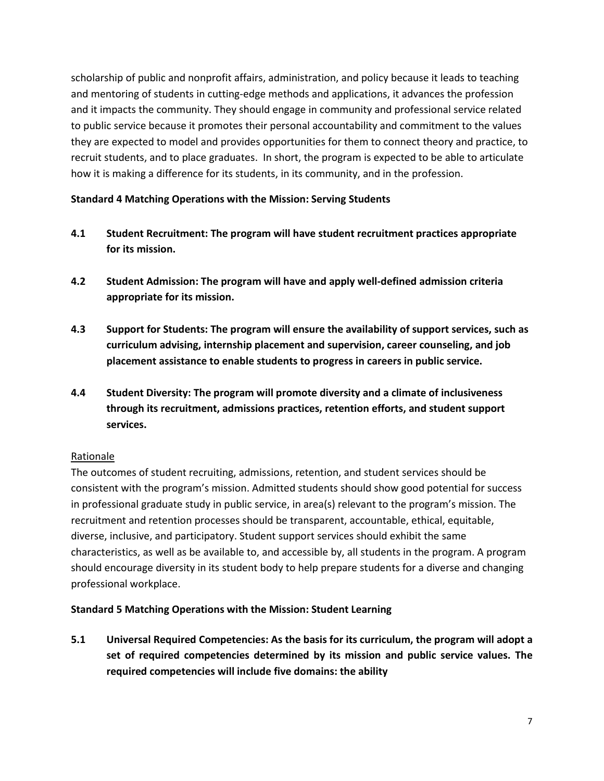scholarship of public and nonprofit affairs, administration, and policy because it leads to teaching and mentoring of students in cutting-edge methods and applications, it advances the profession and it impacts the community. They should engage in community and professional service related to public service because it promotes their personal accountability and commitment to the values they are expected to model and provides opportunities for them to connect theory and practice, to recruit students, and to place graduates. In short, the program is expected to be able to articulate how it is making a difference for its students, in its community, and in the profession.

# **Standard 4 Matching Operations with the Mission: Serving Students**

- **4.1 Student Recruitment: The program will have student recruitment practices appropriate for its mission.**
- **4.2 Student Admission: The program will have and apply well-defined admission criteria appropriate for its mission.**
- **4.3 Support for Students: The program will ensure the availability of support services, such as curriculum advising, internship placement and supervision, career counseling, and job placement assistance to enable students to progress in careers in public service.**
- **4.4 Student Diversity: The program will promote diversity and a climate of inclusiveness through its recruitment, admissions practices, retention efforts, and student support services.**

# Rationale

The outcomes of student recruiting, admissions, retention, and student services should be consistent with the program's mission. Admitted students should show good potential for success in professional graduate study in public service, in area(s) relevant to the program's mission. The recruitment and retention processes should be transparent, accountable, ethical, equitable, diverse, inclusive, and participatory. Student support services should exhibit the same characteristics, as well as be available to, and accessible by, all students in the program. A program should encourage diversity in its student body to help prepare students for a diverse and changing professional workplace.

#### **Standard 5 Matching Operations with the Mission: Student Learning**

**5.1 Universal Required Competencies: As the basis for its curriculum, the program will adopt a set of required competencies determined by its mission and public service values. The required competencies will include five domains: the ability**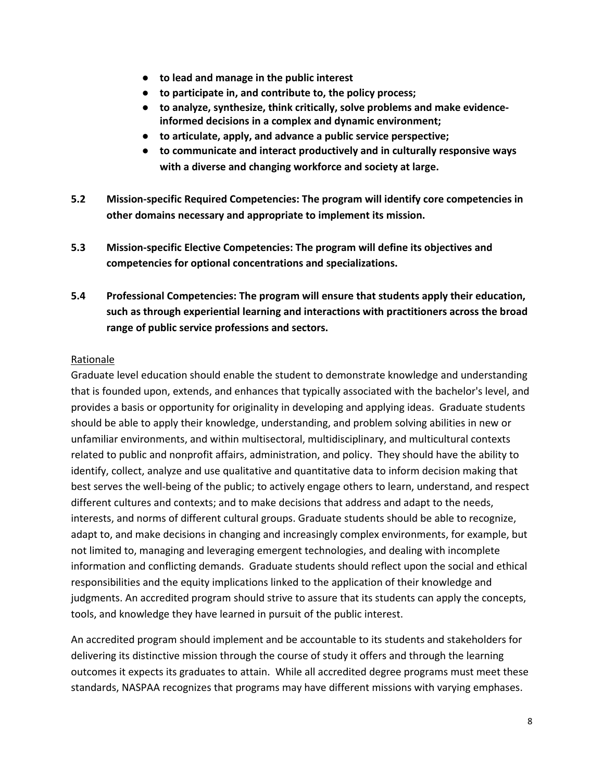- **to lead and manage in the public interest**
- **to participate in, and contribute to, the policy process;**
- **to analyze, synthesize, think critically, solve problems and make evidenceinformed decisions in a complex and dynamic environment;**
- **to articulate, apply, and advance a public service perspective;**
- **to communicate and interact productively and in culturally responsive ways with a diverse and changing workforce and society at large.**
- **5.2 Mission-specific Required Competencies: The program will identify core competencies in other domains necessary and appropriate to implement its mission.**
- **5.3 Mission-specific Elective Competencies: The program will define its objectives and competencies for optional concentrations and specializations.**
- **5.4 Professional Competencies: The program will ensure that students apply their education, such as through experiential learning and interactions with practitioners across the broad range of public service professions and sectors.**

#### Rationale

Graduate level education should enable the student to demonstrate knowledge and understanding that is founded upon, extends, and enhances that typically associated with the bachelor's level, and provides a basis or opportunity for originality in developing and applying ideas. Graduate students should be able to apply their knowledge, understanding, and problem solving abilities in new or unfamiliar environments, and within multisectoral, multidisciplinary, and multicultural contexts related to public and nonprofit affairs, administration, and policy. They should have the ability to identify, collect, analyze and use qualitative and quantitative data to inform decision making that best serves the well-being of the public; to actively engage others to learn, understand, and respect different cultures and contexts; and to make decisions that address and adapt to the needs, interests, and norms of different cultural groups. Graduate students should be able to recognize, adapt to, and make decisions in changing and increasingly complex environments, for example, but not limited to, managing and leveraging emergent technologies, and dealing with incomplete information and conflicting demands. Graduate students should reflect upon the social and ethical responsibilities and the equity implications linked to the application of their knowledge and judgments. An accredited program should strive to assure that its students can apply the concepts, tools, and knowledge they have learned in pursuit of the public interest.

An accredited program should implement and be accountable to its students and stakeholders for delivering its distinctive mission through the course of study it offers and through the learning outcomes it expects its graduates to attain. While all accredited degree programs must meet these standards, NASPAA recognizes that programs may have different missions with varying emphases.